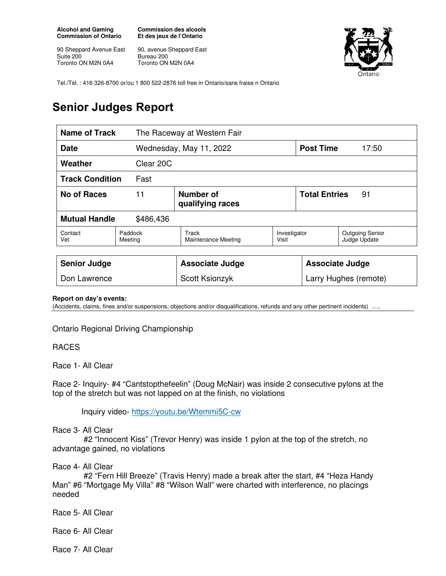**Alcohol and Gaming Commission of Ontario** 

90 Sheppard Avenue East Suite 200 Toronto ON M2N 0A4

**Commission des alcools Et des jeux de l'Ontario** 

90, avenue Sheppard East Bureau 200 Toronto ON M2N 0A4



Tel./Tél. : 416 326-8700 or/ou 1 800 522-2876 toll free in Ontario/sans fraise n Ontario

# **Senior Judges Report**

| <b>Name of Track</b>              |                    | The Raceway at Western Fair   |                       |                            |                                        |
|-----------------------------------|--------------------|-------------------------------|-----------------------|----------------------------|----------------------------------------|
| <b>Date</b>                       |                    | Wednesday, May 11, 2022       |                       | <b>Post Time</b>           | 17:50                                  |
| Weather                           |                    | Clear 20C                     |                       |                            |                                        |
| <b>Track Condition</b><br>Fast    |                    |                               |                       |                            |                                        |
| 11<br><b>No of Races</b>          |                    | Number of<br>qualifying races |                       | <b>Total Entries</b><br>91 |                                        |
| <b>Mutual Handle</b><br>\$486,436 |                    |                               |                       |                            |                                        |
| Contact<br>Vet                    | Paddock<br>Meeting | Track<br>Maintenance Meeting  | Investigator<br>Visit |                            | <b>Outgoing Senior</b><br>Judge Update |
|                                   |                    |                               |                       |                            |                                        |
| <b>Senior Judge</b>               |                    | <b>Associate Judge</b>        |                       | <b>Associate Judge</b>     |                                        |
| Don Lawrence                      |                    | Scott Ksionzyk                |                       | Larry Hughes (remote)      |                                        |

#### **Report on day's events:**

(Accidents, claims, fines and/or suspensions, objections and/or disqualifications, refunds and any other pertinent incidents) ….

Ontario Regional Driving Championship

#### RACES

Race 1- All Clear

Race 2- Inquiry- #4 "Cantstopthefeelin" (Doug McNair) was inside 2 consecutive pylons at the top of the stretch but was not lapped on at the finish, no violations

Inquiry video- https://youtu.be/Wtemmi5C-cw

Race 3- All Clear

 #2 "Innocent Kiss" (Trevor Henry) was inside 1 pylon at the top of the stretch, no advantage gained, no violations

Race 4- All Clear

 #2 "Fern Hill Breeze" (Travis Henry) made a break after the start, #4 "Heza Handy Man" #6 "Mortgage My Villa" #8 "Wilson Wall" were charted with interference, no placings needed

Race 5- All Clear

Race 6- All Clear

Race 7- All Clear